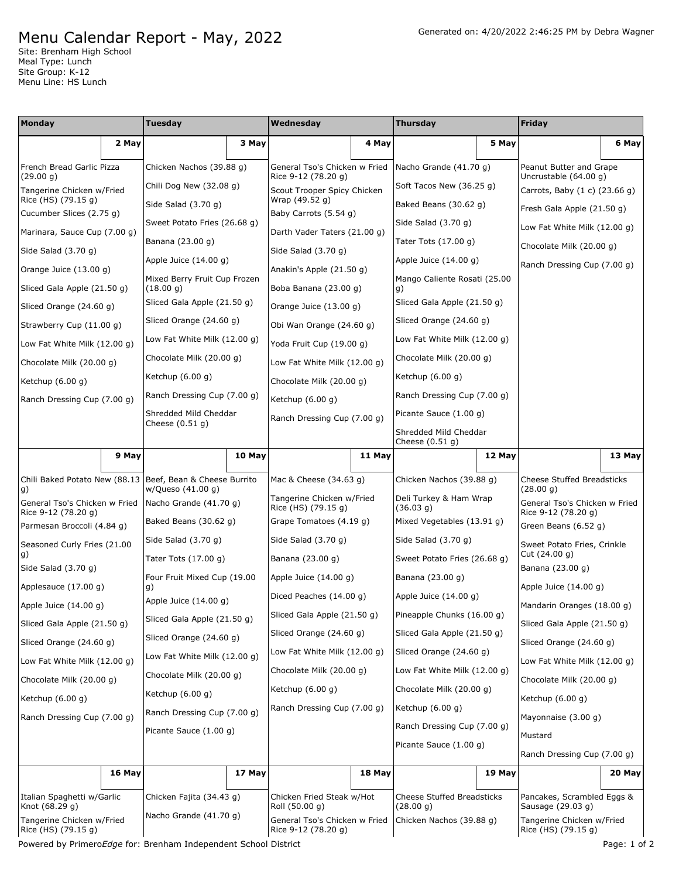## Menu Calendar Report - May, 2022

Site: Brenham High School Meal Type: Lunch Site Group: K-12 Menu Line: HS Lunch

| Monday                                           |        | Tuesday                                                         |        | Wednesday                                            |        | Thursday                                                             |        | Friday                                             |              |
|--------------------------------------------------|--------|-----------------------------------------------------------------|--------|------------------------------------------------------|--------|----------------------------------------------------------------------|--------|----------------------------------------------------|--------------|
|                                                  | 2 May  |                                                                 | 3 May  |                                                      | 4 May  |                                                                      | 5 May  |                                                    | 6 May        |
| French Bread Garlic Pizza<br>(29.00 g)           |        | Chicken Nachos (39.88 g)                                        |        | General Tso's Chicken w Fried<br>Rice 9-12 (78.20 g) |        | Nacho Grande (41.70 g)                                               |        | Peanut Butter and Grape<br>Uncrustable $(64.00 g)$ |              |
| Tangerine Chicken w/Fried                        |        | Chili Dog New (32.08 g)                                         |        | Scout Trooper Spicy Chicken                          |        | Soft Tacos New (36.25 g)                                             |        | Carrots, Baby (1 c) (23.66 g)                      |              |
| Rice (HS) (79.15 g)                              |        | Side Salad (3.70 g)                                             |        | Wrap (49.52 g)                                       |        | Baked Beans (30.62 g)                                                |        | Fresh Gala Apple (21.50 g)                         |              |
| Cucumber Slices (2.75 g)                         |        | Sweet Potato Fries (26.68 g)                                    |        | Baby Carrots (5.54 g)                                |        | Side Salad (3.70 g)                                                  |        | Low Fat White Milk (12.00 g)                       |              |
| Marinara, Sauce Cup (7.00 g)                     |        | Banana (23.00 g)                                                |        | Darth Vader Taters (21.00 q)                         |        | Tater Tots (17.00 g)                                                 |        | Chocolate Milk (20.00 g)                           |              |
| Side Salad (3.70 g)                              |        | Apple Juice $(14.00 g)$                                         |        | Side Salad (3.70 g)                                  |        | Apple Juice (14.00 g)                                                |        | Ranch Dressing Cup (7.00 g)                        |              |
| Orange Juice (13.00 g)                           |        | Mixed Berry Fruit Cup Frozen                                    |        | Anakin's Apple (21.50 g)                             |        | Mango Caliente Rosati (25.00                                         |        |                                                    |              |
| Sliced Gala Apple (21.50 g)                      |        | (18.00 g)                                                       |        | Boba Banana (23.00 g)                                |        | g)                                                                   |        |                                                    |              |
| Sliced Orange (24.60 g)                          |        | Sliced Gala Apple (21.50 g)                                     |        | Orange Juice (13.00 g)                               |        | Sliced Gala Apple (21.50 g)                                          |        |                                                    |              |
| Strawberry Cup (11.00 g)                         |        | Sliced Orange (24.60 g)                                         |        | Obi Wan Orange (24.60 g)                             |        | Sliced Orange (24.60 g)                                              |        |                                                    |              |
| Low Fat White Milk (12.00 g)                     |        | Low Fat White Milk (12.00 g)                                    |        | Yoda Fruit Cup (19.00 g)                             |        | Low Fat White Milk (12.00 g)                                         |        |                                                    |              |
| Chocolate Milk (20.00 g)                         |        | Chocolate Milk (20.00 g)                                        |        | Low Fat White Milk (12.00 g)                         |        | Chocolate Milk (20.00 g)                                             |        |                                                    |              |
| Ketchup $(6.00 g)$                               |        | Ketchup $(6.00 g)$                                              |        | Chocolate Milk (20.00 g)                             |        | Ketchup (6.00 g)                                                     |        |                                                    |              |
| Ranch Dressing Cup (7.00 g)                      |        | Ranch Dressing Cup (7.00 g)                                     |        | Ketchup $(6.00 g)$                                   |        | Ranch Dressing Cup (7.00 g)                                          |        |                                                    |              |
|                                                  |        | Shredded Mild Cheddar<br>Cheese $(0.51 g)$                      |        | Ranch Dressing Cup (7.00 g)                          |        | Picante Sauce (1.00 g)<br>Shredded Mild Cheddar<br>Cheese $(0.51 g)$ |        |                                                    |              |
|                                                  |        |                                                                 |        |                                                      |        |                                                                      |        |                                                    |              |
|                                                  | 9 May  |                                                                 | 10 May |                                                      | 11 May |                                                                      | 12 May |                                                    | 13 May       |
| Chili Baked Potato New (88.13                    |        | Beef, Bean & Cheese Burrito<br>w/Queso (41.00 g)                |        | Mac & Cheese (34.63 g)                               |        | Chicken Nachos (39.88 g)                                             |        | <b>Cheese Stuffed Breadsticks</b><br>(28.00 g)     |              |
| g)<br>General Tso's Chicken w Fried              |        | Nacho Grande (41.70 g)                                          |        | Tangerine Chicken w/Fried<br>Rice (HS) (79.15 g)     |        | Deli Turkey & Ham Wrap<br>(36.03 g)                                  |        | General Tso's Chicken w Fried                      |              |
| Rice 9-12 (78.20 g)                              |        | Baked Beans (30.62 g)                                           |        | Grape Tomatoes (4.19 g)                              |        | Mixed Vegetables (13.91 g)                                           |        | Rice 9-12 (78.20 g)<br>Green Beans (6.52 g)        |              |
| Parmesan Broccoli (4.84 g)                       |        | Side Salad (3.70 g)                                             |        | Side Salad (3.70 g)                                  |        | Side Salad (3.70 g)                                                  |        |                                                    |              |
| Seasoned Curly Fries (21.00<br>g)                |        | Tater Tots (17.00 g)                                            |        | Banana (23.00 g)                                     |        | Sweet Potato Fries (26.68 g)                                         |        | Sweet Potato Fries, Crinkle<br>Cut (24.00 g)       |              |
| Side Salad $(3.70 g)$                            |        |                                                                 |        | Apple Juice $(14.00 g)$                              |        | Banana (23.00 g)                                                     |        | Banana (23.00 g)                                   |              |
| Applesauce (17.00 g)                             |        | Four Fruit Mixed Cup (19.00<br>g)                               |        |                                                      |        |                                                                      |        | Apple Juice $(14.00 g)$                            |              |
| Apple Juice $(14.00 g)$                          |        | Apple Juice $(14.00 g)$                                         |        | Diced Peaches (14.00 g)                              |        | Apple Juice (14.00 g)                                                |        | Mandarin Oranges (18.00 g)                         |              |
| Sliced Gala Apple (21.50 g)                      |        | Sliced Gala Apple (21.50 g)                                     |        | Sliced Gala Apple (21.50 g)                          |        | Pineapple Chunks (16.00 g)                                           |        | Sliced Gala Apple (21.50 g)                        |              |
| Sliced Orange (24.60 g)                          |        | Sliced Orange (24.60 g)                                         |        | Sliced Orange (24.60 g)                              |        | Sliced Gala Apple (21.50 g)                                          |        | Sliced Orange (24.60 g)                            |              |
| Low Fat White Milk (12.00 g)                     |        | Low Fat White Milk (12.00 g)                                    |        | Low Fat White Milk (12.00 g)                         |        | Sliced Orange (24.60 g)                                              |        | Low Fat White Milk (12.00 g)                       |              |
| Chocolate Milk (20.00 g)                         |        | Chocolate Milk (20.00 g)                                        |        | Chocolate Milk (20.00 g)                             |        | Low Fat White Milk (12.00 g)                                         |        | Chocolate Milk (20.00 g)                           |              |
| Ketchup (6.00 g)                                 |        | Ketchup (6.00 g)                                                |        | Ketchup $(6.00 g)$                                   |        | Chocolate Milk (20.00 g)                                             |        | Ketchup $(6.00 g)$                                 |              |
| Ranch Dressing Cup (7.00 g)                      |        | Ranch Dressing Cup (7.00 g)                                     |        | Ranch Dressing Cup (7.00 g)                          |        | Ketchup $(6.00 g)$                                                   |        | Mayonnaise (3.00 g)                                |              |
|                                                  |        | Picante Sauce (1.00 g)                                          |        |                                                      |        | Ranch Dressing Cup (7.00 g)<br>Picante Sauce (1.00 g)                |        | Mustard                                            |              |
|                                                  |        |                                                                 |        |                                                      |        |                                                                      |        |                                                    |              |
|                                                  |        |                                                                 |        |                                                      |        |                                                                      |        | Ranch Dressing Cup (7.00 g)                        |              |
|                                                  | 16 May |                                                                 | 17 May |                                                      | 18 May |                                                                      | 19 May |                                                    | 20 May       |
| Italian Spaghetti w/Garlic<br>Knot (68.29 g)     |        | Chicken Fajita (34.43 g)                                        |        | Chicken Fried Steak w/Hot<br>Roll (50.00 g)          |        | Cheese Stuffed Breadsticks<br>(28.00 g)                              |        | Pancakes, Scrambled Eggs &<br>Sausage (29.03 g)    |              |
| Tangerine Chicken w/Fried<br>Rice (HS) (79.15 g) |        | Nacho Grande (41.70 g)                                          |        | General Tso's Chicken w Fried<br>Rice 9-12 (78.20 g) |        | Chicken Nachos (39.88 g)                                             |        | Tangerine Chicken w/Fried<br>Rice (HS) (79.15 g)   |              |
|                                                  |        | Powered by PrimeroEdge for: Brenham Independent School District |        |                                                      |        |                                                                      |        |                                                    | Page: 1 of 2 |